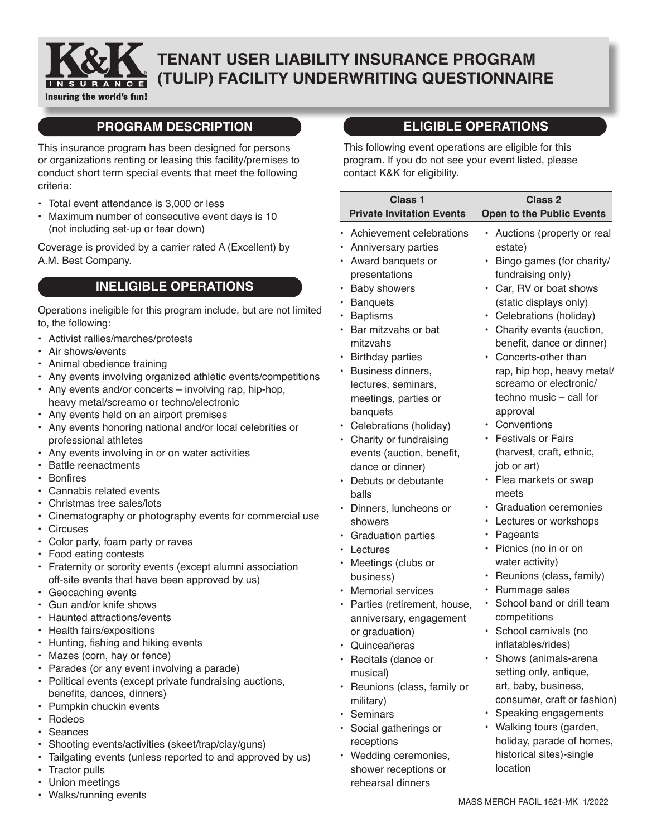

# **TENANT USER LIABILITY INSURANCE PROGRAM (TULIP) FACILITY UNDERWRITING QUESTIONNAIRE**

## **PROGRAM DESCRIPTION**

This insurance program has been designed for persons or organizations renting or leasing this facility/premises to conduct short term special events that meet the following criteria:

- Total event attendance is 3,000 or less
- Maximum number of consecutive event days is 10 (not including set-up or tear down)

Coverage is provided by a carrier rated A (Excellent) by A.M. Best Company.

## **INELIGIBLE OPERATIONS**

Operations ineligible for this program include, but are not limited to, the following:

- Activist rallies/marches/protests
- Air shows/events
- Animal obedience training
- Any events involving organized athletic events/competitions
- Any events and/or concerts involving rap, hip-hop, heavy metal/screamo or techno/electronic
- Any events held on an airport premises
- Any events honoring national and/or local celebrities or professional athletes
- Any events involving in or on water activities
- Battle reenactments
- • Bonfires
- Cannabis related events
- Christmas tree sales/lots
- Cinematography or photography events for commercial use
- Circuses
- Color party, foam party or raves
- Food eating contests
- Fraternity or sorority events (except alumni association off-site events that have been approved by us)
- Geocaching events
- Gun and/or knife shows
- Haunted attractions/events
- Health fairs/expositions
- • Hunting, fishing and hiking events
- Mazes (corn, hay or fence)
- Parades (or any event involving a parade)
- Political events (except private fundraising auctions, benefits, dances, dinners)
- Pumpkin chuckin events
- Rodeos
- Seances
- Shooting events/activities (skeet/trap/clay/guns)
- Tailgating events (unless reported to and approved by us)
- Tractor pulls
- Union meetings
- Walks/running events

## **ELIGIBLE OPERATIONS**

This following event operations are eligible for this program. If you do not see your event listed, please contact K&K for eligibility.

| <b>Class 1</b><br><b>Private Invitation Events</b> | <b>Class 2</b><br><b>Open to the Public Events</b> |
|----------------------------------------------------|----------------------------------------------------|
| Achievement celebrations<br>٠                      | Auctions (property or real                         |
| • Anniversary parties                              | estate)                                            |
| • Award banquets or                                | Bingo games (for charity/                          |
| presentations                                      | fundraising only)                                  |
| <b>Baby showers</b>                                | Car, RV or boat shows<br>$\bullet$                 |
| <b>Banquets</b><br>٠                               | (static displays only)                             |
| • Baptisms                                         | • Celebrations (holiday)                           |
| • Bar mitzvahs or bat                              | • Charity events (auction,                         |
| mitzvahs                                           | benefit, dance or dinner)                          |
| <b>Birthday parties</b><br>٠                       | Concerts-other than                                |
| • Business dinners,                                | rap, hip hop, heavy metal/                         |
| lectures, seminars,                                | screamo or electronic/                             |
| meetings, parties or                               | techno music - call for                            |
| banquets                                           | approval                                           |
| • Celebrations (holiday)                           | • Conventions                                      |
| • Charity or fundraising                           | • Festivals or Fairs                               |
| events (auction, benefit,                          | (harvest, craft, ethnic,                           |
| dance or dinner)                                   | job or art)                                        |
| • Debuts or debutante                              | • Flea markets or swap                             |
| balls                                              | meets                                              |
| Dinners, luncheons or<br>٠                         | · Graduation ceremonies                            |
| showers                                            | • Lectures or workshops                            |
| <b>Graduation parties</b>                          | • Pageants                                         |
| • Lectures                                         | Picnics (no in or on<br>$\bullet$                  |
| Meetings (clubs or<br>٠                            | water activity)                                    |
| business)                                          | Reunions (class, family)                           |
| <b>Memorial services</b>                           | Rummage sales<br>٠                                 |
| • Parties (retirement, house,                      | School band or drill team                          |
| anniversary, engagement                            | competitions                                       |
| or graduation)                                     | School carnivals (no<br>$\bullet$                  |
| Quinceañeras                                       | inflatables/rides)                                 |
| Recitals (dance or                                 | Shows (animals-arena                               |
| musical)                                           | setting only, antique,                             |
| Reunions (class, family or<br>٠                    | art, baby, business,                               |
| military)                                          | consumer, craft or fashion)                        |
| Seminars<br>$\bullet$                              | Speaking engagements<br>$\bullet$                  |
| · Social gatherings or                             | Walking tours (garden,<br>$\bullet$                |
| receptions                                         | holiday, parade of homes,                          |
| Wedding ceremonies,                                | historical sites)-single                           |
| ٠<br>shower receptions or                          | location                                           |
| rehearsal dinners                                  |                                                    |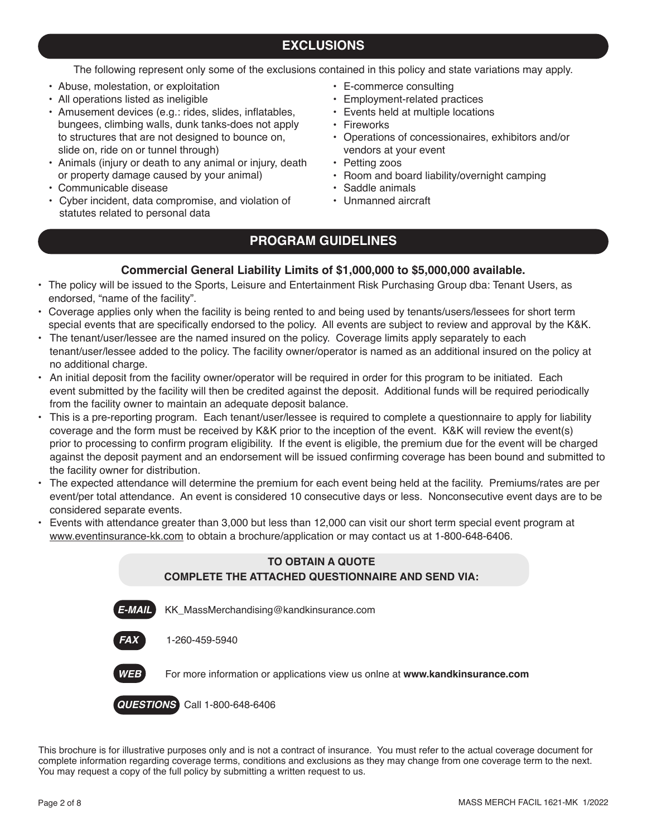## **EXCLUSIONS**

The following represent only some of the exclusions contained in this policy and state variations may apply.

- Abuse, molestation, or exploitation
- All operations listed as ineligible
- Amusement devices (e.g.: rides, slides, inflatables, bungees, climbing walls, dunk tanks-does not apply to structures that are not designed to bounce on, slide on, ride on or tunnel through)
- Animals (injury or death to any animal or injury, death or property damage caused by your animal)
- Communicable disease
- Cyber incident, data compromise, and violation of statutes related to personal data
- E-commerce consulting
- Employment-related practices
- Events held at multiple locations
- Fireworks
- Operations of concessionaires, exhibitors and/or vendors at your event
- Petting zoos
- Room and board liability/overnight camping
- Saddle animals
- Unmanned aircraft

## **PROGRAM GUIDELINES**

#### **Commercial General Liability Limits of \$1,000,000 to \$5,000,000 available.**

- The policy will be issued to the Sports, Leisure and Entertainment Risk Purchasing Group dba: Tenant Users, as endorsed, "name of the facility".
- Coverage applies only when the facility is being rented to and being used by tenants/users/lessees for short term special events that are specifically endorsed to the policy. All events are subject to review and approval by the K&K.
- The tenant/user/lessee are the named insured on the policy. Coverage limits apply separately to each tenant/user/lessee added to the policy. The facility owner/operator is named as an additional insured on the policy at no additional charge.
- An initial deposit from the facility owner/operator will be required in order for this program to be initiated. Each event submitted by the facility will then be credited against the deposit. Additional funds will be required periodically from the facility owner to maintain an adequate deposit balance.
- This is a pre-reporting program. Each tenant/user/lessee is required to complete a questionnaire to apply for liability coverage and the form must be received by K&K prior to the inception of the event. K&K will review the event(s) prior to processing to confirm program eligibility. If the event is eligible, the premium due for the event will be charged against the deposit payment and an endorsement will be issued confirming coverage has been bound and submitted to the facility owner for distribution.
- The expected attendance will determine the premium for each event being held at the facility. Premiums/rates are per event/per total attendance. An event is considered 10 consecutive days or less. Nonconsecutive event days are to be considered separate events.
- Events with attendance greater than 3,000 but less than 12,000 can visit our short term special event program at www.eventinsurance-kk.com to obtain a brochure/application or may contact us at 1-800-648-6406.

#### **TO OBTAIN A QUOTE COMPLETE THE ATTACHED QUESTIONNAIRE AND SEND VIA:**

*E-MAIL* KK\_MassMerchandising@kandkinsurance.com





*WEB* For more information or applications view us onlne at **www.kandkinsurance.com**

*QUESTIONS* Call 1-800-648-6406

This brochure is for illustrative purposes only and is not a contract of insurance. You must refer to the actual coverage document for complete information regarding coverage terms, conditions and exclusions as they may change from one coverage term to the next. You may request a copy of the full policy by submitting a written request to us.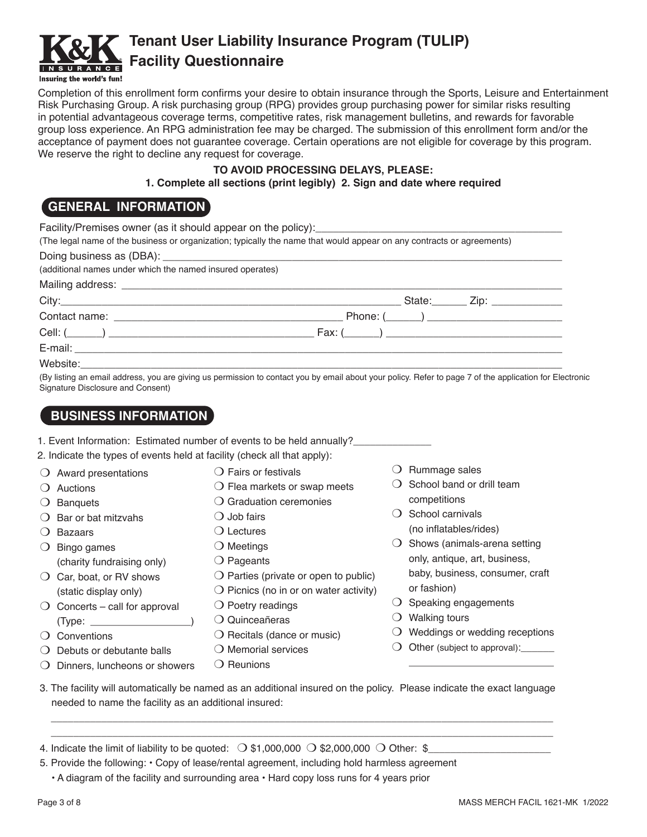

# **Tenant User Liability Insurance Program (TULIP) Facility Questionnaire**

Completion of this enrollment form confirms your desire to obtain insurance through the Sports, Leisure and Entertainment Risk Purchasing Group. A risk purchasing group (RPG) provides group purchasing power for similar risks resulting in potential advantageous coverage terms, competitive rates, risk management bulletins, and rewards for favorable group loss experience. An RPG administration fee may be charged. The submission of this enrollment form and/or the acceptance of payment does not guarantee coverage. Certain operations are not eligible for coverage by this program. We reserve the right to decline any request for coverage.

#### **TO AVOID PROCESSING DELAYS, PLEASE: 1. Complete all sections (print legibly) 2. Sign and date where required**

## **GENERAL INFORMATION**

| (The legal name of the business or organization; typically the name that would appear on any contracts or agreements) |  |  |
|-----------------------------------------------------------------------------------------------------------------------|--|--|
| (additional names under which the named insured operates)                                                             |  |  |
|                                                                                                                       |  |  |
|                                                                                                                       |  |  |
|                                                                                                                       |  |  |
|                                                                                                                       |  |  |
|                                                                                                                       |  |  |
|                                                                                                                       |  |  |

(By listing an email address, you are giving us permission to contact you by email about your policy. Refer to page 7 of the application for Electronic Signature Disclosure and Consent)

## **BUSINESS INFORMATION**

|          |                                                                          | 1. Event Information: Estimated number of events to be held annually? |                      |
|----------|--------------------------------------------------------------------------|-----------------------------------------------------------------------|----------------------|
|          | 2. Indicate the types of events held at facility (check all that apply): |                                                                       |                      |
|          | $\bigcirc$ Award presentations                                           | $\bigcirc$ Fairs or festivals                                         | Rummage sal          |
|          | Auctions                                                                 | $\bigcirc$ Flea markets or swap meets                                 | School band o        |
| $\Omega$ | <b>Banquets</b>                                                          | $\bigcirc$ Graduation ceremonies                                      | competitions         |
|          | $\bigcirc$ Bar or bat mitzvahs                                           | $\bigcirc$ Job fairs                                                  | School carniva       |
|          | <b>Bazaars</b>                                                           | $\bigcirc$ Lectures                                                   | (no inflatables      |
|          | Bingo games                                                              | $\bigcirc$ Meetings                                                   | Shows (anima         |
|          | (charity fundraising only)                                               | $\bigcirc$ Pageants                                                   | only, antique,       |
|          | Car, boat, or RV shows                                                   | $\bigcirc$ Parties (private or open to public)                        | baby, busines        |
|          | (static display only)                                                    | $\bigcirc$ Picnics (no in or on water activity)                       | or fashion)          |
| $\Omega$ | Concerts – call for approval                                             | $\bigcirc$ Poetry readings                                            | Speaking eng         |
|          | (Type:                                                                   | Quinceañeras<br>$\left( \right)$                                      | <b>Walking tours</b> |
|          | Conventions                                                              | $\bigcirc$ Recitals (dance or music)                                  | Weddings or v        |

- $\bigcirc$  Conventions
- $\bigcirc$  Debuts or debutante balls
- $\bigcirc$  Dinners, luncheons or showers
- $\bigcirc$  Memorial services
	- $\bigcirc$  Reunions
- $O$  Rummage sales
- or drill team
- $\bigcirc$  School carnivals s/rides)
- als-arena setting art, business, s, consumer, craft
- agements
- 
- $\cup$  Weddings or wedding receptions

\_\_\_\_\_\_\_\_\_\_\_\_\_\_\_\_\_\_\_\_\_\_\_\_\_\_

- $\bigcirc$  Other (subject to approval):
- 3. The facility will automatically be named as an additional insured on the policy. Please indicate the exact language needed to name the facility as an additional insured:

\_\_\_\_\_\_\_\_\_\_\_\_\_\_\_\_\_\_\_\_\_\_\_\_\_\_\_\_\_\_\_\_\_\_\_\_\_\_\_\_\_\_\_\_\_\_\_\_\_\_\_\_\_\_\_\_\_\_\_\_\_\_\_\_\_\_\_\_\_\_\_\_\_\_\_\_\_\_\_\_\_\_\_\_\_\_\_\_\_\_ \_\_\_\_\_\_\_\_\_\_\_\_\_\_\_\_\_\_\_\_\_\_\_\_\_\_\_\_\_\_\_\_\_\_\_\_\_\_\_\_\_\_\_\_\_\_\_\_\_\_\_\_\_\_\_\_\_\_\_\_\_\_\_\_\_\_\_\_\_\_\_\_\_\_\_\_\_\_\_\_\_\_\_\_\_\_\_\_\_\_

4. Indicate the limit of liability to be quoted:  $\bigcirc$  \$1,000,000  $\bigcirc$  \$2,000,000  $\bigcirc$  Other: \$

- 5. Provide the following: Copy of lease/rental agreement, including hold harmless agreement
	- A diagram of the facility and surrounding area Hard copy loss runs for 4 years prior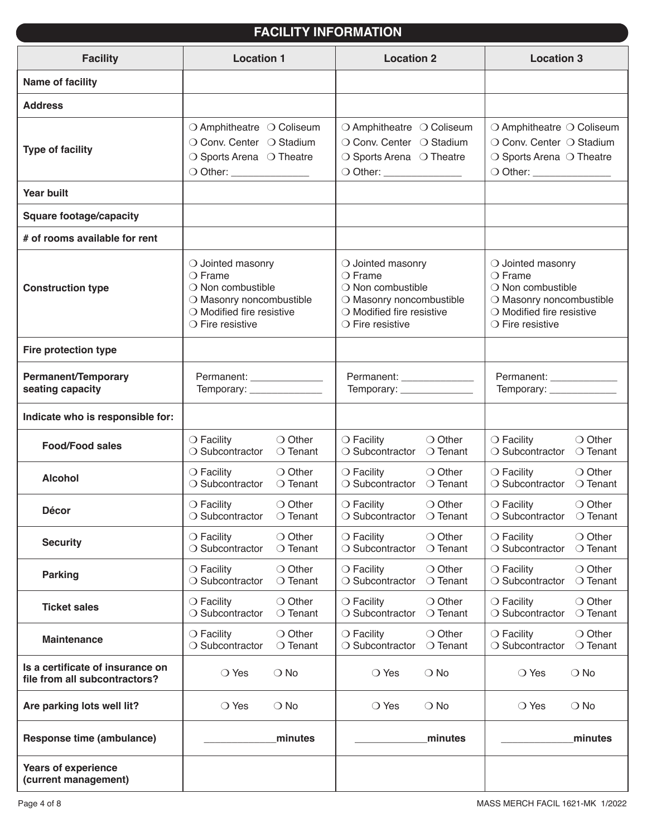## **FACILITY INFORMATION**

| <b>Facility</b>                                    | <b>Location 1</b>           | <b>Location 2</b>                  | <b>Location 3</b>                |
|----------------------------------------------------|-----------------------------|------------------------------------|----------------------------------|
| Name of facility                                   |                             |                                    |                                  |
| <b>Address</b>                                     |                             |                                    |                                  |
| <b>Type of facility</b>                            | ○ Amphitheatre ○ Coliseum   | ○ Amphitheatre ○ Coliseum          | ○ Amphitheatre ○ Coliseum        |
|                                                    | ○ Conv. Center ○ Stadium    | ○ Conv. Center ○ Stadium           | ○ Conv. Center ○ Stadium         |
|                                                    | ○ Sports Arena ○ Theatre    | ○ Sports Arena ○ Theatre           | ○ Sports Arena ○ Theatre         |
|                                                    | O Other: ______________     | O Other: ______________            | O Other: _____________           |
| <b>Year built</b>                                  |                             |                                    |                                  |
| <b>Square footage/capacity</b>                     |                             |                                    |                                  |
| # of rooms available for rent                      |                             |                                    |                                  |
| <b>Construction type</b>                           | $\bigcirc$ Jointed masonry  | $\bigcirc$ Jointed masonry         | $\bigcirc$ Jointed masonry       |
|                                                    | $\bigcirc$ Frame            | $\bigcirc$ Frame                   | $\bigcirc$ Frame                 |
|                                                    | ○ Non combustible           | $\bigcirc$ Non combustible         | ○ Non combustible                |
|                                                    | O Masonry noncombustible    | O Masonry noncombustible           | O Masonry noncombustible         |
|                                                    | O Modified fire resistive   | $\bigcirc$ Modified fire resistive | O Modified fire resistive        |
|                                                    | $\bigcirc$ Fire resistive   | $\bigcirc$ Fire resistive          | $\bigcirc$ Fire resistive        |
| <b>Fire protection type</b>                        |                             |                                    |                                  |
| Permanent/Temporary                                | Permanent: ________________ | Permanent: _______________         | Permanent: ____________          |
| seating capacity                                   | Temporary: _______________  | Temporary: _______________         | Temporary: _______________       |
| Indicate who is responsible for:                   |                             |                                    |                                  |
| <b>Food/Food sales</b>                             | ○ Other                     | ○ Other                            | ○ Other                          |
|                                                    | $\bigcirc$ Facility         | $\bigcirc$ Facility                | $\bigcirc$ Facility              |
|                                                    | ○ Subcontractor             | $\bigcirc$ Tenant                  | ○ Subcontractor                  |
|                                                    | $\bigcirc$ Tenant           | ○ Subcontractor                    | $\bigcirc$ Tenant                |
| <b>Alcohol</b>                                     | $\bigcirc$ Facility         | $\bigcirc$ Facility                | $\bigcirc$ Facility              |
|                                                    | ○ Other                     | $\bigcirc$ Other                   | $\bigcirc$ Other                 |
|                                                    | ○ Subcontractor             | ○ Subcontractor                    | ○ Subcontractor                  |
|                                                    | $\bigcirc$ Tenant           | $\bigcirc$ Tenant                  | ○ Tenant                         |
| <b>Décor</b>                                       | $\bigcirc$ Facility         | $\bigcirc$ Facility                | $\bigcirc$ Facility              |
|                                                    | $\bigcirc$ Other            | ○ Other                            | ○ Other                          |
|                                                    | $\bigcirc$ Subcontractor    | $\bigcirc$ Subcontractor           | $\circlearrowleft$ Subcontractor |
|                                                    | $\circ$ lenant              | ○ lenant                           | $\circ$ lenant                   |
| <b>Security</b>                                    | $\bigcirc$ Other            | $\bigcirc$ Facility                | $\bigcirc$ Facility              |
|                                                    | $\bigcirc$ Facility         | $\bigcirc$ Other                   | $\bigcirc$ Other                 |
|                                                    | ○ Subcontractor             | ○ Subcontractor                    | ○ Subcontractor                  |
|                                                    | $\bigcirc$ Tenant           | $\bigcirc$ Tenant                  | $\bigcirc$ Tenant                |
| <b>Parking</b>                                     | ○ Other                     | ○ Other                            | ○ Other                          |
|                                                    | $\bigcirc$ Facility         | $\bigcirc$ Facility                | $\bigcirc$ Facility              |
|                                                    | ○ Subcontractor             | ○ Subcontractor                    | ○ Subcontractor                  |
|                                                    | $\bigcirc$ Tenant           | $\bigcirc$ Tenant                  | $\bigcirc$ Tenant                |
| <b>Ticket sales</b>                                | $\bigcirc$ Other            | $\bigcirc$ Facility                | $\bigcirc$ Other                 |
|                                                    | $\bigcirc$ Facility         | $\bigcirc$ Other                   | $\bigcirc$ Facility              |
|                                                    | ○ Subcontractor             | ○ Subcontractor                    | ○ Subcontractor                  |
|                                                    | ○ Tenant                    | $\bigcirc$ Tenant                  | ○ Tenant                         |
| <b>Maintenance</b>                                 | $\bigcirc$ Facility         | ○ Other                            | $\bigcirc$ Other                 |
|                                                    | $\bigcirc$ Other            | $\bigcirc$ Facility                | $\bigcirc$ Facility              |
|                                                    | ○ Subcontractor             | ○ Tenant                           | $\bigcirc$ Tenant                |
|                                                    | $\bigcirc$ Tenant           | ○ Subcontractor                    | ○ Subcontractor                  |
| Is a certificate of insurance on                   | $\bigcirc$ Yes              | $\bigcirc$ No                      | $\bigcirc$ No                    |
| file from all subcontractors?                      | $\bigcirc$ No               | ◯ Yes                              | ◯ Yes                            |
| Are parking lots well lit?                         | $\bigcirc$ Yes              | $\bigcirc$ Yes                     | $\bigcirc$ Yes                   |
|                                                    | $\bigcirc$ No               | $\bigcirc$ No                      | $\bigcirc$ No                    |
| Response time (ambulance)                          | minutes                     | minutes                            | minutes                          |
| <b>Years of experience</b><br>(current management) |                             |                                    |                                  |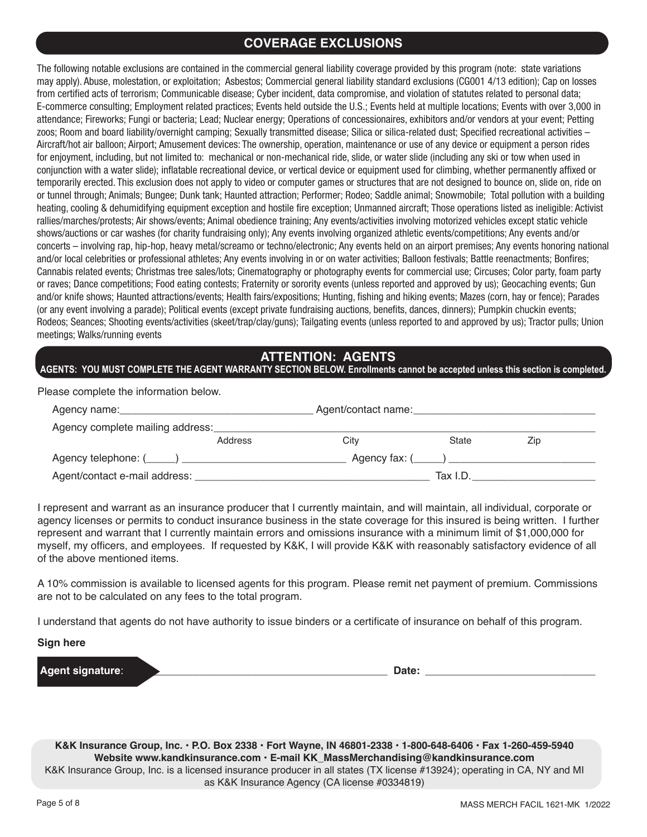## **COVERAGE EXCLUSIONS**

The following notable exclusions are contained in the commercial general liability coverage provided by this program (note: state variations may apply). Abuse, molestation, or exploitation; Asbestos; Commercial general liability standard exclusions (CG001 4/13 edition); Cap on losses from certified acts of terrorism; Communicable disease; Cyber incident, data compromise, and violation of statutes related to personal data; E-commerce consulting; Employment related practices; Events held outside the U.S.; Events held at multiple locations; Events with over 3,000 in attendance; Fireworks; Fungi or bacteria; Lead; Nuclear energy; Operations of concessionaires, exhibitors and/or vendors at your event; Petting zoos; Room and board liability/overnight camping; Sexually transmitted disease; Silica or silica-related dust; Specified recreational activities – Aircraft/hot air balloon; Airport; Amusement devices: The ownership, operation, maintenance or use of any device or equipment a person rides for enjoyment, including, but not limited to: mechanical or non-mechanical ride, slide, or water slide (including any ski or tow when used in conjunction with a water slide); inflatable recreational device, or vertical device or equipment used for climbing, whether permanently affixed or temporarily erected. This exclusion does not apply to video or computer games or structures that are not designed to bounce on, slide on, ride on or tunnel through; Animals; Bungee; Dunk tank; Haunted attraction; Performer; Rodeo; Saddle animal; Snowmobile; Total pollution with a building heating, cooling & dehumidifying equipment exception and hostile fire exception; Unmanned aircraft; Those operations listed as ineligible: Activist rallies/marches/protests; Air shows/events; Animal obedience training; Any events/activities involving motorized vehicles except static vehicle shows/auctions or car washes (for charity fundraising only); Any events involving organized athletic events/competitions; Any events and/or concerts – involving rap, hip-hop, heavy metal/screamo or techno/electronic; Any events held on an airport premises; Any events honoring national and/or local celebrities or professional athletes; Any events involving in or on water activities; Balloon festivals; Battle reenactments; Bonfires; Cannabis related events; Christmas tree sales/lots; Cinematography or photography events for commercial use; Circuses; Color party, foam party or raves; Dance competitions; Food eating contests; Fraternity or sorority events (unless reported and approved by us); Geocaching events; Gun and/or knife shows; Haunted attractions/events; Health fairs/expositions; Hunting, fishing and hiking events; Mazes (corn, hay or fence); Parades (or any event involving a parade); Political events (except private fundraising auctions, benefits, dances, dinners); Pumpkin chuckin events; Rodeos; Seances; Shooting events/activities (skeet/trap/clay/guns); Tailgating events (unless reported to and approved by us); Tractor pulls; Union meetings; Walks/running events

### **ATTENTION: AGENTS**

#### **AGENTS: YOU MUST COMPLETE THE AGENT WARRANTY SECTION BELOW. Enrollments cannot be accepted unless this section is completed.**

Please complete the information below.

| Agency name:                     |         | Agent/contact name: |          |     |  |
|----------------------------------|---------|---------------------|----------|-----|--|
| Agency complete mailing address: |         |                     |          |     |  |
|                                  | Address | City                | State    | Zip |  |
| Agency telephone: (_____) _      |         | Agency fax: ()      |          |     |  |
| Agent/contact e-mail address:    |         |                     | Tax I.D. |     |  |

I represent and warrant as an insurance producer that I currently maintain, and will maintain, all individual, corporate or agency licenses or permits to conduct insurance business in the state coverage for this insured is being written. I further represent and warrant that I currently maintain errors and omissions insurance with a minimum limit of \$1,000,000 for myself, my officers, and employees. If requested by K&K, I will provide K&K with reasonably satisfactory evidence of all of the above mentioned items.

A 10% commission is available to licensed agents for this program. Please remit net payment of premium. Commissions are not to be calculated on any fees to the total program.

I understand that agents do not have authority to issue binders or a certificate of insurance on behalf of this program.

#### **Sign here**

| l Ad | --<br>___ |  |
|------|-----------|--|
|      |           |  |

**K&K Insurance Group, Inc. • P.O. Box 2338 • Fort Wayne, IN 46801-2338 • 1-800-648-6406 • Fax 1-260-459-5940 Website www.kandkinsurance.com • E-mail KK\_MassMerchandising@kandkinsurance.com**  K&K Insurance Group, Inc. is a licensed insurance producer in all states (TX license #13924); operating in CA, NY and MI as K&K Insurance Agency (CA license #0334819)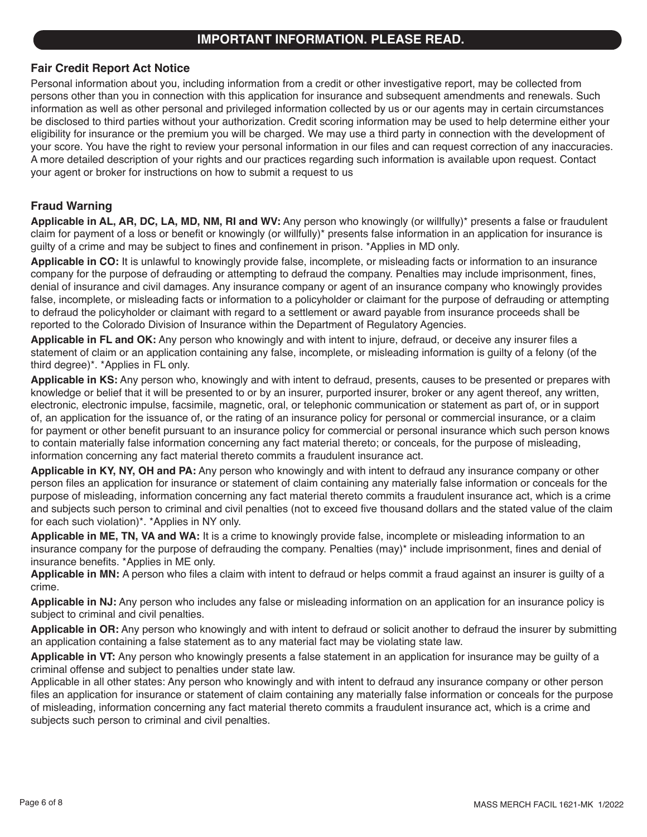### **IMPORTANT INFORMATION. PLEASE READ.**

#### **Fair Credit Report Act Notice**

Personal information about you, including information from a credit or other investigative report, may be collected from persons other than you in connection with this application for insurance and subsequent amendments and renewals. Such information as well as other personal and privileged information collected by us or our agents may in certain circumstances be disclosed to third parties without your authorization. Credit scoring information may be used to help determine either your eligibility for insurance or the premium you will be charged. We may use a third party in connection with the development of your score. You have the right to review your personal information in our files and can request correction of any inaccuracies. A more detailed description of your rights and our practices regarding such information is available upon request. Contact your agent or broker for instructions on how to submit a request to us

#### **Fraud Warning**

**Applicable in AL, AR, DC, LA, MD, NM, RI and WV:** Any person who knowingly (or willfully)\* presents a false or fraudulent claim for payment of a loss or benefit or knowingly (or willfully)\* presents false information in an application for insurance is guilty of a crime and may be subject to fines and confinement in prison. \*Applies in MD only.

**Applicable in CO:** It is unlawful to knowingly provide false, incomplete, or misleading facts or information to an insurance company for the purpose of defrauding or attempting to defraud the company. Penalties may include imprisonment, fines, denial of insurance and civil damages. Any insurance company or agent of an insurance company who knowingly provides false, incomplete, or misleading facts or information to a policyholder or claimant for the purpose of defrauding or attempting to defraud the policyholder or claimant with regard to a settlement or award payable from insurance proceeds shall be reported to the Colorado Division of Insurance within the Department of Regulatory Agencies.

**Applicable in FL and OK:** Any person who knowingly and with intent to injure, defraud, or deceive any insurer files a statement of claim or an application containing any false, incomplete, or misleading information is guilty of a felony (of the third degree)\*. \*Applies in FL only.

**Applicable in KS:** Any person who, knowingly and with intent to defraud, presents, causes to be presented or prepares with knowledge or belief that it will be presented to or by an insurer, purported insurer, broker or any agent thereof, any written, electronic, electronic impulse, facsimile, magnetic, oral, or telephonic communication or statement as part of, or in support of, an application for the issuance of, or the rating of an insurance policy for personal or commercial insurance, or a claim for payment or other benefit pursuant to an insurance policy for commercial or personal insurance which such person knows to contain materially false information concerning any fact material thereto; or conceals, for the purpose of misleading, information concerning any fact material thereto commits a fraudulent insurance act.

**Applicable in KY, NY, OH and PA:** Any person who knowingly and with intent to defraud any insurance company or other person files an application for insurance or statement of claim containing any materially false information or conceals for the purpose of misleading, information concerning any fact material thereto commits a fraudulent insurance act, which is a crime and subjects such person to criminal and civil penalties (not to exceed five thousand dollars and the stated value of the claim for each such violation)\*. \*Applies in NY only.

**Applicable in ME, TN, VA and WA:** It is a crime to knowingly provide false, incomplete or misleading information to an insurance company for the purpose of defrauding the company. Penalties (may)\* include imprisonment, fines and denial of insurance benefits. \*Applies in ME only.

**Applicable in MN:** A person who files a claim with intent to defraud or helps commit a fraud against an insurer is guilty of a crime.

**Applicable in NJ:** Any person who includes any false or misleading information on an application for an insurance policy is subject to criminal and civil penalties.

**Applicable in OR:** Any person who knowingly and with intent to defraud or solicit another to defraud the insurer by submitting an application containing a false statement as to any material fact may be violating state law.

**Applicable in VT:** Any person who knowingly presents a false statement in an application for insurance may be guilty of a criminal offense and subject to penalties under state law.

Applicable in all other states: Any person who knowingly and with intent to defraud any insurance company or other person files an application for insurance or statement of claim containing any materially false information or conceals for the purpose of misleading, information concerning any fact material thereto commits a fraudulent insurance act, which is a crime and subjects such person to criminal and civil penalties.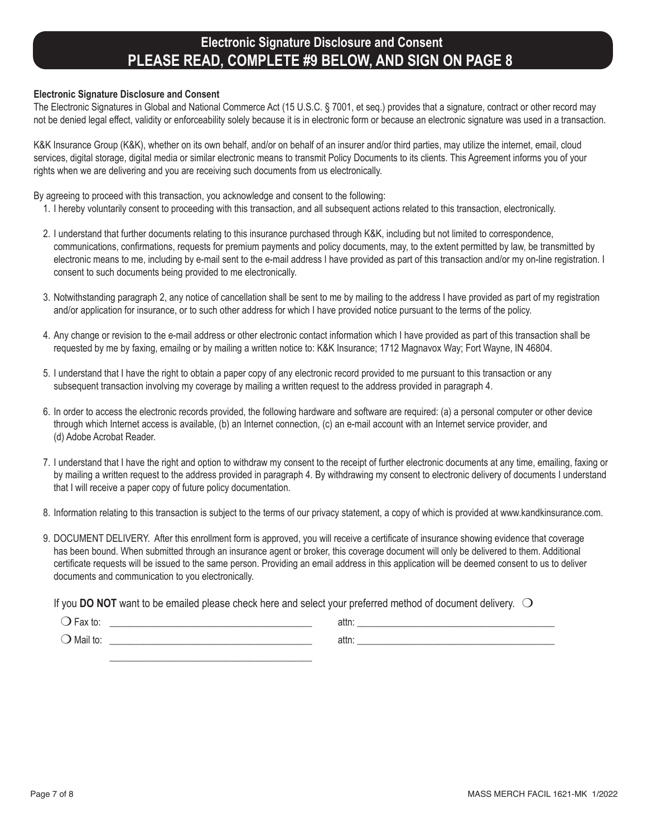## **Electronic Signature Disclosure and Consent PLEASE READ, COMPLETE #9 BELOW, AND SIGN ON PAGE 8**

#### **Electronic Signature Disclosure and Consent**

The Electronic Signatures in Global and National Commerce Act (15 U.S.C. § 7001, et seq.) provides that a signature, contract or other record may not be denied legal effect, validity or enforceability solely because it is in electronic form or because an electronic signature was used in a transaction.

K&K Insurance Group (K&K), whether on its own behalf, and/or on behalf of an insurer and/or third parties, may utilize the internet, email, cloud services, digital storage, digital media or similar electronic means to transmit Policy Documents to its clients. This Agreement informs you of your rights when we are delivering and you are receiving such documents from us electronically.

By agreeing to proceed with this transaction, you acknowledge and consent to the following:

- 1. I hereby voluntarily consent to proceeding with this transaction, and all subsequent actions related to this transaction, electronically.
- 2. I understand that further documents relating to this insurance purchased through K&K, including but not limited to correspondence, communications, confirmations, requests for premium payments and policy documents, may, to the extent permitted by law, be transmitted by electronic means to me, including by e-mail sent to the e-mail address I have provided as part of this transaction and/or my on-line registration. I consent to such documents being provided to me electronically.
- 3. Notwithstanding paragraph 2, any notice of cancellation shall be sent to me by mailing to the address I have provided as part of my registration and/or application for insurance, or to such other address for which I have provided notice pursuant to the terms of the policy.
- 4. Any change or revision to the e-mail address or other electronic contact information which I have provided as part of this transaction shall be requested by me by faxing, emailng or by mailing a written notice to: K&K Insurance; 1712 Magnavox Way; Fort Wayne, IN 46804.
- 5. I understand that I have the right to obtain a paper copy of any electronic record provided to me pursuant to this transaction or any subsequent transaction involving my coverage by mailing a written request to the address provided in paragraph 4.
- 6. In order to access the electronic records provided, the following hardware and software are required: (a) a personal computer or other device through which Internet access is available, (b) an Internet connection, (c) an e-mail account with an Internet service provider, and (d) Adobe Acrobat Reader.
- 7. I understand that I have the right and option to withdraw my consent to the receipt of further electronic documents at any time, emailing, faxing or by mailing a written request to the address provided in paragraph 4. By withdrawing my consent to electronic delivery of documents I understand that I will receive a paper copy of future policy documentation.
- 8. Information relating to this transaction is subject to the terms of our privacy statement, a copy of which is provided at www.kandkinsurance.com.
- 9. DOCUMENT DELIVERY. After this enrollment form is approved, you will receive a certificate of insurance showing evidence that coverage has been bound. When submitted through an insurance agent or broker, this coverage document will only be delivered to them. Additional certificate requests will be issued to the same person. Providing an email address in this application will be deemed consent to us to deliver documents and communication to you electronically.

If you **DO NOT** want to be emailed please check here and select your preferred method of document delivery.  $\bigcirc$ 

| $\overline{\phantom{0}}$<br>$\bigcup$ Fax to: | attn: |  |
|-----------------------------------------------|-------|--|
| $\bigcirc$ Mail to:                           | attn: |  |
|                                               |       |  |